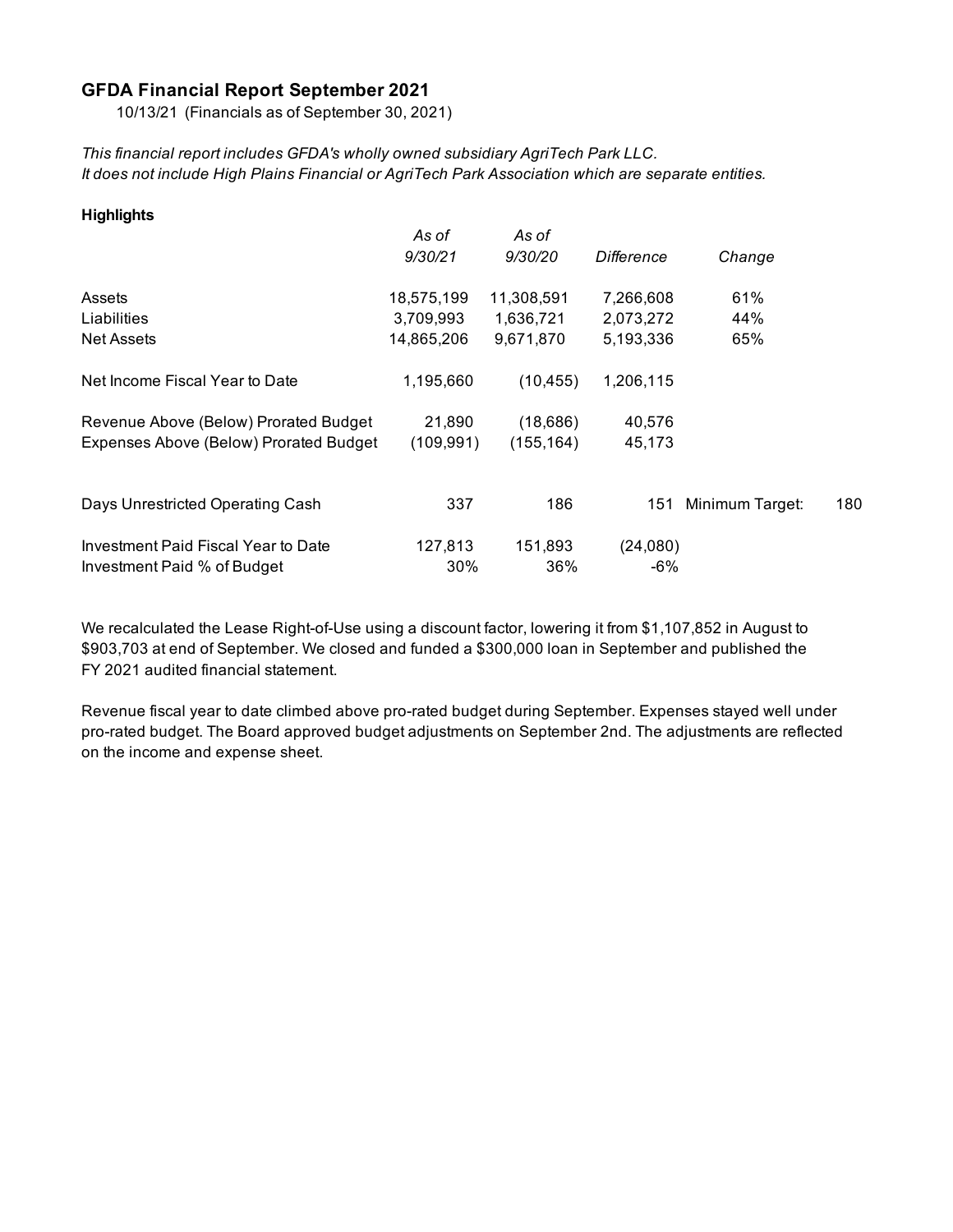#### **GFDA Financial Report September 2021**

10/13/21 (Financials as of September 30, 2021)

*This financial report includes GFDA's wholly owned subsidiary AgriTech Park LLC. It does not include High Plains Financial or AgriTech Park Association which are separate entities.*

| <b>Highlights</b>                      |            |            |            |                 |     |
|----------------------------------------|------------|------------|------------|-----------------|-----|
|                                        | As of      | As of      |            |                 |     |
|                                        | 9/30/21    | 9/30/20    | Difference | Change          |     |
| Assets                                 | 18,575,199 | 11,308,591 | 7,266,608  | 61%             |     |
| Liabilities                            | 3,709,993  | 1,636,721  | 2,073,272  | 44%             |     |
| <b>Net Assets</b>                      | 14,865,206 | 9,671,870  | 5,193,336  | 65%             |     |
| Net Income Fiscal Year to Date         | 1,195,660  | (10, 455)  | 1,206,115  |                 |     |
| Revenue Above (Below) Prorated Budget  | 21,890     | (18,686)   | 40,576     |                 |     |
| Expenses Above (Below) Prorated Budget | (109, 991) | (155, 164) | 45,173     |                 |     |
|                                        |            |            |            |                 |     |
| Days Unrestricted Operating Cash       | 337        | 186        | 151        | Minimum Target: | 180 |
| Investment Paid Fiscal Year to Date    | 127,813    | 151,893    | (24,080)   |                 |     |
| Investment Paid % of Budget            | 30%        | 36%        | -6%        |                 |     |

We recalculated the Lease Right-of-Use using a discount factor, lowering it from \$1,107,852 in August to \$903,703 at end of September. We closed and funded a \$300,000 loan in September and published the FY 2021 audited financial statement.

Revenue fiscal year to date climbed above pro-rated budget during September. Expenses stayed well under pro-rated budget. The Board approved budget adjustments on September 2nd. The adjustments are reflected on the income and expense sheet.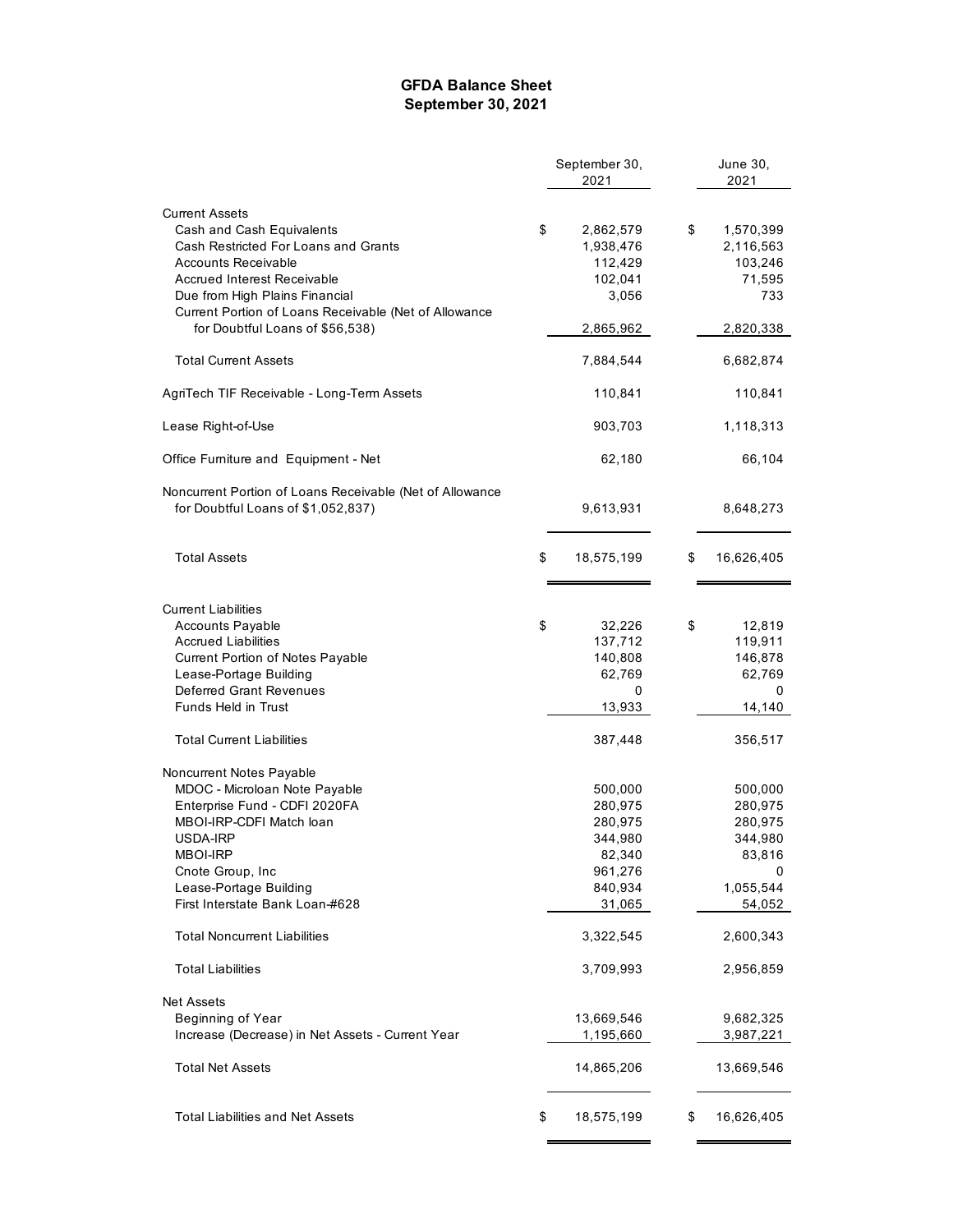#### **GFDA Balance Sheet September 30, 2021**

|                                                          | September 30, |            |    | June 30,          |
|----------------------------------------------------------|---------------|------------|----|-------------------|
|                                                          |               | 2021       |    | 2021              |
| <b>Current Assets</b>                                    |               |            |    |                   |
| Cash and Cash Equivalents                                | \$            | 2,862,579  | \$ | 1,570,399         |
| Cash Restricted For Loans and Grants                     |               | 1,938,476  |    | 2,116,563         |
| Accounts Receivable                                      |               | 112,429    |    | 103,246           |
| <b>Accrued Interest Receivable</b>                       |               | 102,041    |    | 71,595            |
| Due from High Plains Financial                           |               | 3,056      |    | 733               |
| Current Portion of Loans Receivable (Net of Allowance    |               |            |    |                   |
| for Doubtful Loans of \$56,538)                          |               | 2,865,962  |    | 2,820,338         |
|                                                          |               |            |    |                   |
| <b>Total Current Assets</b>                              |               | 7,884,544  |    | 6,682,874         |
| AgriTech TIF Receivable - Long-Term Assets               |               | 110,841    |    | 110,841           |
| Lease Right-of-Use                                       |               | 903,703    |    | 1,118,313         |
| Office Furniture and Equipment - Net                     |               | 62,180     |    | 66,104            |
|                                                          |               |            |    |                   |
| Noncurrent Portion of Loans Receivable (Net of Allowance |               |            |    |                   |
| for Doubtful Loans of \$1,052,837)                       |               | 9,613,931  |    | 8,648,273         |
| <b>Total Assets</b>                                      | \$            | 18,575,199 | S  | 16,626,405        |
|                                                          |               |            |    |                   |
| <b>Current Liabilities</b>                               |               |            |    |                   |
|                                                          | \$            | 32,226     |    |                   |
| <b>Accounts Payable</b><br>Accrued Liabilities           |               | 137,712    | \$ | 12,819<br>119,911 |
|                                                          |               | 140,808    |    | 146,878           |
| Current Portion of Notes Payable                         |               | 62,769     |    | 62,769            |
| Lease-Portage Building<br><b>Deferred Grant Revenues</b> |               | 0          |    | 0                 |
| <b>Funds Held in Trust</b>                               |               | 13,933     |    | 14,140            |
|                                                          |               |            |    |                   |
| <b>Total Current Liabilities</b>                         |               | 387,448    |    | 356,517           |
| Noncurrent Notes Payable                                 |               |            |    |                   |
| MDOC - Microloan Note Payable                            |               | 500,000    |    | 500,000           |
| Enterprise Fund - CDFI 2020FA                            |               | 280,975    |    | 280,975           |
| MBOI-IRP-CDFI Match loan                                 |               | 280,975    |    | 280,975           |
| USDA-IRP                                                 |               | 344,980    |    | 344,980           |
| <b>MBOI-IRP</b>                                          |               | 82,340     |    | 83,816            |
| Cnote Group, Inc                                         |               | 961,276    |    | 0                 |
| Lease-Portage Building                                   |               | 840,934    |    | 1,055,544         |
| First Interstate Bank Loan-#628                          |               | 31,065     |    | 54,052            |
| <b>Total Noncurrent Liabilities</b>                      |               | 3,322,545  |    | 2,600,343         |
| Total Liabilities                                        |               | 3,709,993  |    | 2,956,859         |
|                                                          |               |            |    |                   |
| <b>Net Assets</b><br>Beginning of Year                   |               | 13,669,546 |    | 9,682,325         |
| Increase (Decrease) in Net Assets - Current Year         |               | 1,195,660  |    | 3,987,221         |
|                                                          |               |            |    |                   |
| <b>Total Net Assets</b>                                  |               | 14,865,206 |    | 13,669,546        |
| <b>Total Liabilities and Net Assets</b>                  | \$            | 18,575,199 | \$ | 16,626,405        |
|                                                          |               |            |    |                   |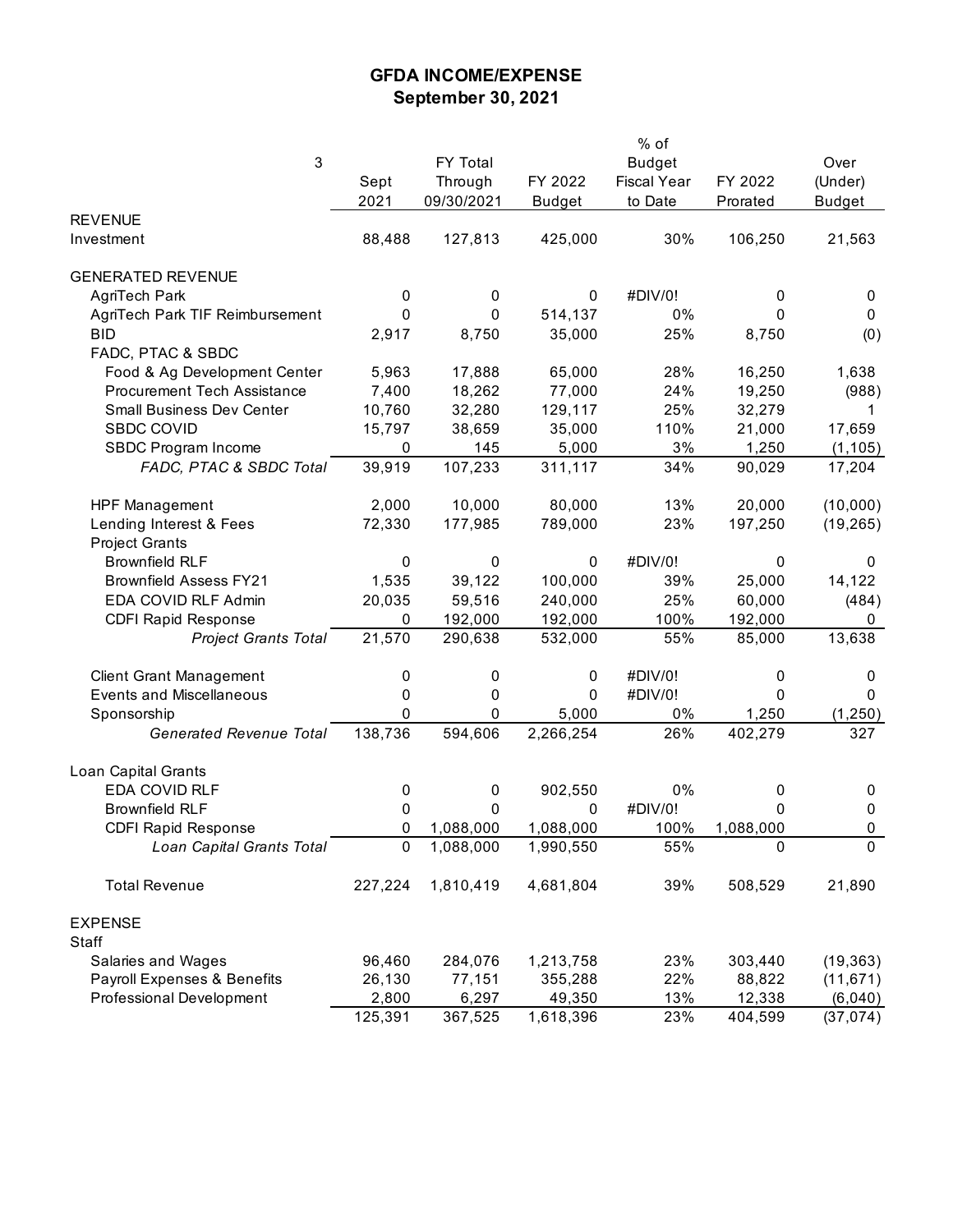## **GFDA INCOME/EXPENSE September 30, 2021**

|                                    |             |            |               | % of               |           |               |
|------------------------------------|-------------|------------|---------------|--------------------|-----------|---------------|
| 3                                  |             | FY Total   |               | <b>Budget</b>      |           | Over          |
|                                    | Sept        | Through    | FY 2022       | <b>Fiscal Year</b> | FY 2022   | (Under)       |
|                                    | 2021        | 09/30/2021 | <b>Budget</b> | to Date            | Prorated  | <b>Budget</b> |
| <b>REVENUE</b>                     |             |            |               |                    |           |               |
| Investment                         | 88,488      | 127,813    | 425,000       | 30%                | 106,250   | 21,563        |
|                                    |             |            |               |                    |           |               |
| <b>GENERATED REVENUE</b>           |             |            |               |                    |           |               |
| AgriTech Park                      | 0           | 0          | 0             | #DIV/0!            | 0         | 0             |
| AgriTech Park TIF Reimbursement    | $\mathbf 0$ | 0          | 514,137       | 0%                 | 0         | 0             |
| <b>BID</b>                         | 2,917       | 8,750      | 35,000        | 25%                | 8,750     | (0)           |
| FADC, PTAC & SBDC                  |             |            |               |                    |           |               |
| Food & Ag Development Center       | 5,963       | 17,888     | 65,000        | 28%                | 16,250    | 1,638         |
| <b>Procurement Tech Assistance</b> | 7,400       | 18,262     | 77,000        | 24%                | 19,250    | (988)         |
| <b>Small Business Dev Center</b>   | 10,760      | 32,280     | 129,117       | 25%                | 32,279    | 1             |
| <b>SBDC COVID</b>                  | 15,797      | 38,659     | 35,000        | 110%               | 21,000    | 17,659        |
| SBDC Program Income                | 0           | 145        | 5,000         | 3%                 | 1,250     | (1, 105)      |
| FADC, PTAC & SBDC Total            | 39,919      | 107,233    | 311,117       | 34%                | 90,029    | 17,204        |
| <b>HPF Management</b>              | 2,000       | 10,000     | 80,000        | 13%                | 20,000    | (10,000)      |
| Lending Interest & Fees            | 72,330      | 177,985    | 789,000       | 23%                | 197,250   | (19, 265)     |
| <b>Project Grants</b>              |             |            |               |                    |           |               |
| <b>Brownfield RLF</b>              | 0           | 0          | 0             | #DIV/0!            | 0         | 0             |
| <b>Brownfield Assess FY21</b>      | 1,535       | 39,122     | 100,000       | 39%                | 25,000    | 14,122        |
| EDA COVID RLF Admin                | 20,035      | 59,516     | 240,000       | 25%                | 60,000    | (484)         |
| <b>CDFI Rapid Response</b>         | 0           | 192,000    | 192,000       | 100%               | 192,000   | 0             |
| <b>Project Grants Total</b>        | 21,570      | 290,638    | 532,000       | 55%                | 85,000    | 13,638        |
|                                    |             |            |               |                    |           |               |
| <b>Client Grant Management</b>     | 0           | 0          | 0             | #DIV/0!            | 0         | 0             |
| <b>Events and Miscellaneous</b>    | 0           | 0          | 0             | #DIV/0!            | 0         | 0             |
| Sponsorship                        | 0           | 0          | 5,000         | $0\%$              | 1,250     | (1, 250)      |
| <b>Generated Revenue Total</b>     | 138,736     | 594,606    | 2,266,254     | 26%                | 402,279   | 327           |
| Loan Capital Grants                |             |            |               |                    |           |               |
| EDA COVID RLF                      | 0           | 0          | 902,550       | 0%                 | 0         | 0             |
| <b>Brownfield RLF</b>              | 0           | 0          | 0             | #DIV/0!            | 0         | $\pmb{0}$     |
| <b>CDFI Rapid Response</b>         | 0           | 1,088,000  | 1,088,000     | 100%               | 1,088,000 | 0             |
| Loan Capital Grants Total          | 0           | 1,088,000  | 1,990,550     | 55%                | 0         | 0             |
|                                    |             |            |               |                    |           |               |
| <b>Total Revenue</b>               | 227,224     | 1,810,419  | 4,681,804     | 39%                | 508,529   | 21,890        |
| <b>EXPENSE</b>                     |             |            |               |                    |           |               |
| Staff                              |             |            |               |                    |           |               |
| Salaries and Wages                 | 96,460      | 284,076    | 1,213,758     | 23%                | 303,440   | (19, 363)     |
| Payroll Expenses & Benefits        | 26,130      | 77,151     | 355,288       | 22%                | 88,822    | (11, 671)     |
| Professional Development           | 2,800       | 6,297      | 49,350        | 13%                | 12,338    | (6,040)       |
|                                    | 125,391     | 367,525    | 1,618,396     | 23%                | 404,599   | (37, 074)     |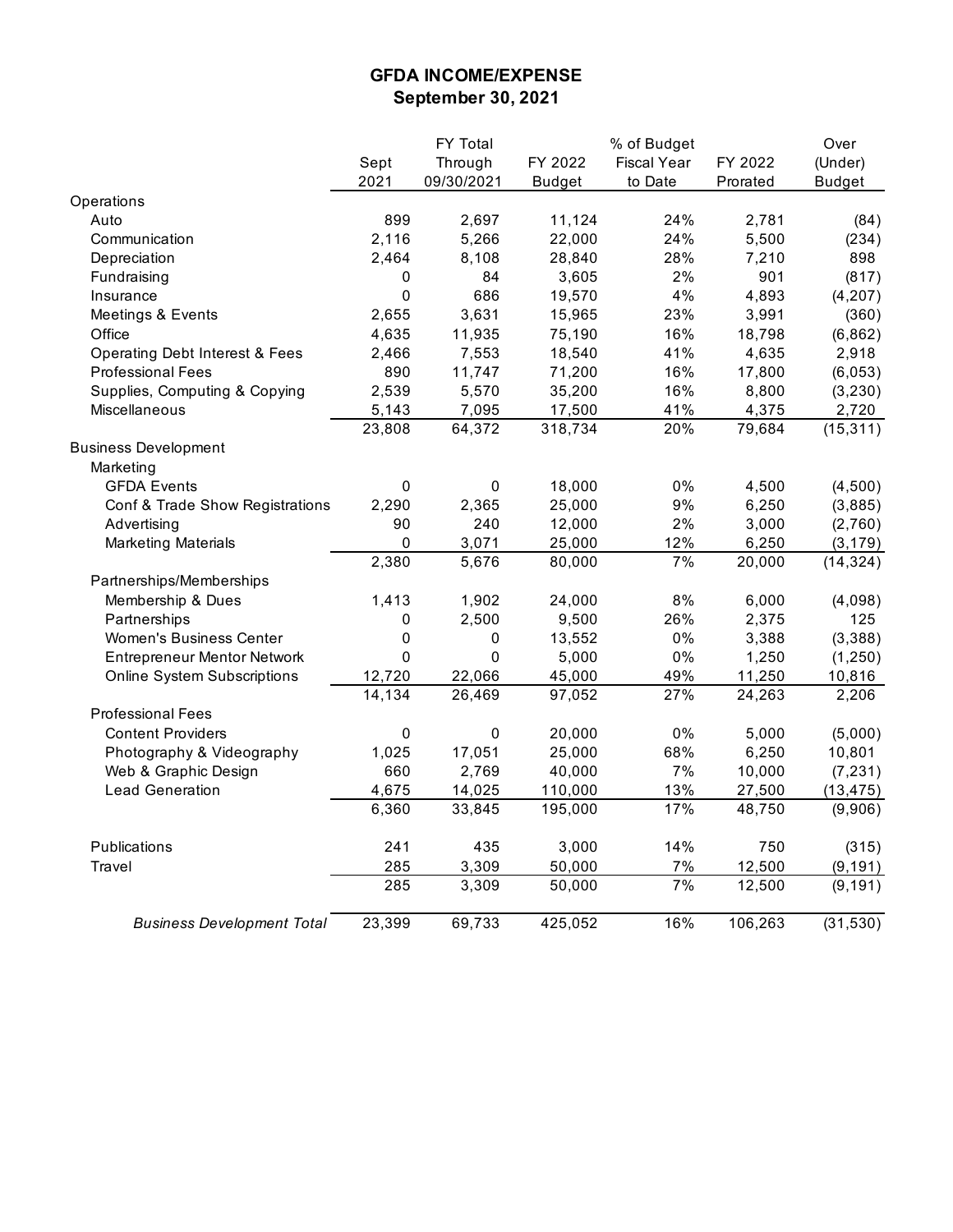## **GFDA INCOME/EXPENSE September 30, 2021**

| Through<br>Sept<br>FY 2022<br><b>Fiscal Year</b><br>FY 2022<br>(Under)<br>2021<br>09/30/2021<br><b>Budget</b><br>to Date<br>Prorated<br><b>Budget</b><br>Operations<br>899<br>2,697<br>11,124<br>24%<br>Auto<br>2,781<br>(84)<br>24%<br>5,500<br>Communication<br>2,116<br>5,266<br>22,000<br>(234)<br>28%<br>7,210<br>898<br>2,464<br>8,108<br>28,840<br>Depreciation<br>3,605<br>2%<br>901<br>(817)<br>Fundraising<br>84<br>0<br>$\mathsf 0$<br>686<br>4%<br>19,570<br>4,893<br>(4, 207)<br>Insurance<br>3,631<br>23%<br>2,655<br>15,965<br>3,991<br>(360)<br>Meetings & Events<br>Office<br>4,635<br>11,935<br>75,190<br>16%<br>18,798<br>(6, 862)<br>7,553<br>18,540<br>41%<br>4,635<br>2,918<br><b>Operating Debt Interest &amp; Fees</b><br>2,466<br><b>Professional Fees</b><br>890<br>11,747<br>71,200<br>16%<br>17,800<br>(6,053)<br>16%<br>Supplies, Computing & Copying<br>2,539<br>5,570<br>35,200<br>8,800<br>(3, 230)<br>Miscellaneous<br>5,143<br>7,095<br>17,500<br>41%<br>4,375<br>2,720<br>23,808<br>64,372<br>318,734<br>20%<br>79,684<br>(15, 311)<br><b>Business Development</b><br>Marketing<br>18,000<br>0%<br><b>GFDA Events</b><br>$\pmb{0}$<br>0<br>4,500<br>(4,500)<br>9%<br>25,000<br>6,250<br>(3,885)<br>Conf & Trade Show Registrations<br>2,290<br>2,365<br>2%<br>Advertising<br>90<br>240<br>12,000<br>3,000<br>(2,760)<br><b>Marketing Materials</b><br>0<br>3,071<br>25,000<br>12%<br>6,250<br>(3, 179)<br>2,380<br>5,676<br>7%<br>80,000<br>20,000<br>(14, 324)<br>Partnerships/Memberships<br>Membership & Dues<br>1,902<br>24,000<br>8%<br>6,000<br>1,413<br>(4,098)<br>Partnerships<br>2,500<br>9,500<br>26%<br>2,375<br>0<br>125<br>$0\%$<br>Women's Business Center<br>0<br>0<br>13,552<br>3,388<br>(3,388)<br>0%<br>0<br>5,000<br>1,250<br>(1, 250)<br><b>Entrepreneur Mentor Network</b><br>0<br>45,000<br>49%<br>11,250<br>10,816<br><b>Online System Subscriptions</b><br>12,720<br>22,066<br>14,134<br>26,469<br>27%<br>97,052<br>24,263<br>2,206<br><b>Professional Fees</b><br>0%<br><b>Content Providers</b><br>0<br>0<br>20,000<br>5,000<br>(5,000)<br>17,051<br>68%<br>6,250<br>10,801<br>Photography & Videography<br>1,025<br>25,000<br>Web & Graphic Design<br>660<br>2,769<br>40,000<br>7%<br>10,000<br>(7, 231)<br>4,675<br>13%<br><b>Lead Generation</b><br>14,025<br>110,000<br>27,500<br>(13, 475)<br>6,360<br>195,000<br>17%<br>48,750<br>(9,906)<br>33,845<br>Publications<br>241<br>435<br>3,000<br>14%<br>750<br>(315)<br>Travel<br>285<br>3,309<br>50,000<br>7%<br>12,500<br>(9, 191)<br>7%<br>285<br>3,309<br>12,500<br>(9, 191)<br>50,000<br>23,399<br>69,733<br>425,052<br>16%<br>106,263<br>(31, 530)<br><b>Business Development Total</b> |  | FY Total | % of Budget | Over |
|---------------------------------------------------------------------------------------------------------------------------------------------------------------------------------------------------------------------------------------------------------------------------------------------------------------------------------------------------------------------------------------------------------------------------------------------------------------------------------------------------------------------------------------------------------------------------------------------------------------------------------------------------------------------------------------------------------------------------------------------------------------------------------------------------------------------------------------------------------------------------------------------------------------------------------------------------------------------------------------------------------------------------------------------------------------------------------------------------------------------------------------------------------------------------------------------------------------------------------------------------------------------------------------------------------------------------------------------------------------------------------------------------------------------------------------------------------------------------------------------------------------------------------------------------------------------------------------------------------------------------------------------------------------------------------------------------------------------------------------------------------------------------------------------------------------------------------------------------------------------------------------------------------------------------------------------------------------------------------------------------------------------------------------------------------------------------------------------------------------------------------------------------------------------------------------------------------------------------------------------------------------------------------------------------------------------------------------------------------------------------------------------------------------------------------------------------------------------------------------------------------------------------------------------------------------------------------------------------------------------------------------------------------------------------------------------------------------|--|----------|-------------|------|
|                                                                                                                                                                                                                                                                                                                                                                                                                                                                                                                                                                                                                                                                                                                                                                                                                                                                                                                                                                                                                                                                                                                                                                                                                                                                                                                                                                                                                                                                                                                                                                                                                                                                                                                                                                                                                                                                                                                                                                                                                                                                                                                                                                                                                                                                                                                                                                                                                                                                                                                                                                                                                                                                                                               |  |          |             |      |
|                                                                                                                                                                                                                                                                                                                                                                                                                                                                                                                                                                                                                                                                                                                                                                                                                                                                                                                                                                                                                                                                                                                                                                                                                                                                                                                                                                                                                                                                                                                                                                                                                                                                                                                                                                                                                                                                                                                                                                                                                                                                                                                                                                                                                                                                                                                                                                                                                                                                                                                                                                                                                                                                                                               |  |          |             |      |
|                                                                                                                                                                                                                                                                                                                                                                                                                                                                                                                                                                                                                                                                                                                                                                                                                                                                                                                                                                                                                                                                                                                                                                                                                                                                                                                                                                                                                                                                                                                                                                                                                                                                                                                                                                                                                                                                                                                                                                                                                                                                                                                                                                                                                                                                                                                                                                                                                                                                                                                                                                                                                                                                                                               |  |          |             |      |
|                                                                                                                                                                                                                                                                                                                                                                                                                                                                                                                                                                                                                                                                                                                                                                                                                                                                                                                                                                                                                                                                                                                                                                                                                                                                                                                                                                                                                                                                                                                                                                                                                                                                                                                                                                                                                                                                                                                                                                                                                                                                                                                                                                                                                                                                                                                                                                                                                                                                                                                                                                                                                                                                                                               |  |          |             |      |
|                                                                                                                                                                                                                                                                                                                                                                                                                                                                                                                                                                                                                                                                                                                                                                                                                                                                                                                                                                                                                                                                                                                                                                                                                                                                                                                                                                                                                                                                                                                                                                                                                                                                                                                                                                                                                                                                                                                                                                                                                                                                                                                                                                                                                                                                                                                                                                                                                                                                                                                                                                                                                                                                                                               |  |          |             |      |
|                                                                                                                                                                                                                                                                                                                                                                                                                                                                                                                                                                                                                                                                                                                                                                                                                                                                                                                                                                                                                                                                                                                                                                                                                                                                                                                                                                                                                                                                                                                                                                                                                                                                                                                                                                                                                                                                                                                                                                                                                                                                                                                                                                                                                                                                                                                                                                                                                                                                                                                                                                                                                                                                                                               |  |          |             |      |
|                                                                                                                                                                                                                                                                                                                                                                                                                                                                                                                                                                                                                                                                                                                                                                                                                                                                                                                                                                                                                                                                                                                                                                                                                                                                                                                                                                                                                                                                                                                                                                                                                                                                                                                                                                                                                                                                                                                                                                                                                                                                                                                                                                                                                                                                                                                                                                                                                                                                                                                                                                                                                                                                                                               |  |          |             |      |
|                                                                                                                                                                                                                                                                                                                                                                                                                                                                                                                                                                                                                                                                                                                                                                                                                                                                                                                                                                                                                                                                                                                                                                                                                                                                                                                                                                                                                                                                                                                                                                                                                                                                                                                                                                                                                                                                                                                                                                                                                                                                                                                                                                                                                                                                                                                                                                                                                                                                                                                                                                                                                                                                                                               |  |          |             |      |
|                                                                                                                                                                                                                                                                                                                                                                                                                                                                                                                                                                                                                                                                                                                                                                                                                                                                                                                                                                                                                                                                                                                                                                                                                                                                                                                                                                                                                                                                                                                                                                                                                                                                                                                                                                                                                                                                                                                                                                                                                                                                                                                                                                                                                                                                                                                                                                                                                                                                                                                                                                                                                                                                                                               |  |          |             |      |
|                                                                                                                                                                                                                                                                                                                                                                                                                                                                                                                                                                                                                                                                                                                                                                                                                                                                                                                                                                                                                                                                                                                                                                                                                                                                                                                                                                                                                                                                                                                                                                                                                                                                                                                                                                                                                                                                                                                                                                                                                                                                                                                                                                                                                                                                                                                                                                                                                                                                                                                                                                                                                                                                                                               |  |          |             |      |
|                                                                                                                                                                                                                                                                                                                                                                                                                                                                                                                                                                                                                                                                                                                                                                                                                                                                                                                                                                                                                                                                                                                                                                                                                                                                                                                                                                                                                                                                                                                                                                                                                                                                                                                                                                                                                                                                                                                                                                                                                                                                                                                                                                                                                                                                                                                                                                                                                                                                                                                                                                                                                                                                                                               |  |          |             |      |
|                                                                                                                                                                                                                                                                                                                                                                                                                                                                                                                                                                                                                                                                                                                                                                                                                                                                                                                                                                                                                                                                                                                                                                                                                                                                                                                                                                                                                                                                                                                                                                                                                                                                                                                                                                                                                                                                                                                                                                                                                                                                                                                                                                                                                                                                                                                                                                                                                                                                                                                                                                                                                                                                                                               |  |          |             |      |
|                                                                                                                                                                                                                                                                                                                                                                                                                                                                                                                                                                                                                                                                                                                                                                                                                                                                                                                                                                                                                                                                                                                                                                                                                                                                                                                                                                                                                                                                                                                                                                                                                                                                                                                                                                                                                                                                                                                                                                                                                                                                                                                                                                                                                                                                                                                                                                                                                                                                                                                                                                                                                                                                                                               |  |          |             |      |
|                                                                                                                                                                                                                                                                                                                                                                                                                                                                                                                                                                                                                                                                                                                                                                                                                                                                                                                                                                                                                                                                                                                                                                                                                                                                                                                                                                                                                                                                                                                                                                                                                                                                                                                                                                                                                                                                                                                                                                                                                                                                                                                                                                                                                                                                                                                                                                                                                                                                                                                                                                                                                                                                                                               |  |          |             |      |
|                                                                                                                                                                                                                                                                                                                                                                                                                                                                                                                                                                                                                                                                                                                                                                                                                                                                                                                                                                                                                                                                                                                                                                                                                                                                                                                                                                                                                                                                                                                                                                                                                                                                                                                                                                                                                                                                                                                                                                                                                                                                                                                                                                                                                                                                                                                                                                                                                                                                                                                                                                                                                                                                                                               |  |          |             |      |
|                                                                                                                                                                                                                                                                                                                                                                                                                                                                                                                                                                                                                                                                                                                                                                                                                                                                                                                                                                                                                                                                                                                                                                                                                                                                                                                                                                                                                                                                                                                                                                                                                                                                                                                                                                                                                                                                                                                                                                                                                                                                                                                                                                                                                                                                                                                                                                                                                                                                                                                                                                                                                                                                                                               |  |          |             |      |
|                                                                                                                                                                                                                                                                                                                                                                                                                                                                                                                                                                                                                                                                                                                                                                                                                                                                                                                                                                                                                                                                                                                                                                                                                                                                                                                                                                                                                                                                                                                                                                                                                                                                                                                                                                                                                                                                                                                                                                                                                                                                                                                                                                                                                                                                                                                                                                                                                                                                                                                                                                                                                                                                                                               |  |          |             |      |
|                                                                                                                                                                                                                                                                                                                                                                                                                                                                                                                                                                                                                                                                                                                                                                                                                                                                                                                                                                                                                                                                                                                                                                                                                                                                                                                                                                                                                                                                                                                                                                                                                                                                                                                                                                                                                                                                                                                                                                                                                                                                                                                                                                                                                                                                                                                                                                                                                                                                                                                                                                                                                                                                                                               |  |          |             |      |
|                                                                                                                                                                                                                                                                                                                                                                                                                                                                                                                                                                                                                                                                                                                                                                                                                                                                                                                                                                                                                                                                                                                                                                                                                                                                                                                                                                                                                                                                                                                                                                                                                                                                                                                                                                                                                                                                                                                                                                                                                                                                                                                                                                                                                                                                                                                                                                                                                                                                                                                                                                                                                                                                                                               |  |          |             |      |
|                                                                                                                                                                                                                                                                                                                                                                                                                                                                                                                                                                                                                                                                                                                                                                                                                                                                                                                                                                                                                                                                                                                                                                                                                                                                                                                                                                                                                                                                                                                                                                                                                                                                                                                                                                                                                                                                                                                                                                                                                                                                                                                                                                                                                                                                                                                                                                                                                                                                                                                                                                                                                                                                                                               |  |          |             |      |
|                                                                                                                                                                                                                                                                                                                                                                                                                                                                                                                                                                                                                                                                                                                                                                                                                                                                                                                                                                                                                                                                                                                                                                                                                                                                                                                                                                                                                                                                                                                                                                                                                                                                                                                                                                                                                                                                                                                                                                                                                                                                                                                                                                                                                                                                                                                                                                                                                                                                                                                                                                                                                                                                                                               |  |          |             |      |
|                                                                                                                                                                                                                                                                                                                                                                                                                                                                                                                                                                                                                                                                                                                                                                                                                                                                                                                                                                                                                                                                                                                                                                                                                                                                                                                                                                                                                                                                                                                                                                                                                                                                                                                                                                                                                                                                                                                                                                                                                                                                                                                                                                                                                                                                                                                                                                                                                                                                                                                                                                                                                                                                                                               |  |          |             |      |
|                                                                                                                                                                                                                                                                                                                                                                                                                                                                                                                                                                                                                                                                                                                                                                                                                                                                                                                                                                                                                                                                                                                                                                                                                                                                                                                                                                                                                                                                                                                                                                                                                                                                                                                                                                                                                                                                                                                                                                                                                                                                                                                                                                                                                                                                                                                                                                                                                                                                                                                                                                                                                                                                                                               |  |          |             |      |
|                                                                                                                                                                                                                                                                                                                                                                                                                                                                                                                                                                                                                                                                                                                                                                                                                                                                                                                                                                                                                                                                                                                                                                                                                                                                                                                                                                                                                                                                                                                                                                                                                                                                                                                                                                                                                                                                                                                                                                                                                                                                                                                                                                                                                                                                                                                                                                                                                                                                                                                                                                                                                                                                                                               |  |          |             |      |
|                                                                                                                                                                                                                                                                                                                                                                                                                                                                                                                                                                                                                                                                                                                                                                                                                                                                                                                                                                                                                                                                                                                                                                                                                                                                                                                                                                                                                                                                                                                                                                                                                                                                                                                                                                                                                                                                                                                                                                                                                                                                                                                                                                                                                                                                                                                                                                                                                                                                                                                                                                                                                                                                                                               |  |          |             |      |
|                                                                                                                                                                                                                                                                                                                                                                                                                                                                                                                                                                                                                                                                                                                                                                                                                                                                                                                                                                                                                                                                                                                                                                                                                                                                                                                                                                                                                                                                                                                                                                                                                                                                                                                                                                                                                                                                                                                                                                                                                                                                                                                                                                                                                                                                                                                                                                                                                                                                                                                                                                                                                                                                                                               |  |          |             |      |
|                                                                                                                                                                                                                                                                                                                                                                                                                                                                                                                                                                                                                                                                                                                                                                                                                                                                                                                                                                                                                                                                                                                                                                                                                                                                                                                                                                                                                                                                                                                                                                                                                                                                                                                                                                                                                                                                                                                                                                                                                                                                                                                                                                                                                                                                                                                                                                                                                                                                                                                                                                                                                                                                                                               |  |          |             |      |
|                                                                                                                                                                                                                                                                                                                                                                                                                                                                                                                                                                                                                                                                                                                                                                                                                                                                                                                                                                                                                                                                                                                                                                                                                                                                                                                                                                                                                                                                                                                                                                                                                                                                                                                                                                                                                                                                                                                                                                                                                                                                                                                                                                                                                                                                                                                                                                                                                                                                                                                                                                                                                                                                                                               |  |          |             |      |
|                                                                                                                                                                                                                                                                                                                                                                                                                                                                                                                                                                                                                                                                                                                                                                                                                                                                                                                                                                                                                                                                                                                                                                                                                                                                                                                                                                                                                                                                                                                                                                                                                                                                                                                                                                                                                                                                                                                                                                                                                                                                                                                                                                                                                                                                                                                                                                                                                                                                                                                                                                                                                                                                                                               |  |          |             |      |
|                                                                                                                                                                                                                                                                                                                                                                                                                                                                                                                                                                                                                                                                                                                                                                                                                                                                                                                                                                                                                                                                                                                                                                                                                                                                                                                                                                                                                                                                                                                                                                                                                                                                                                                                                                                                                                                                                                                                                                                                                                                                                                                                                                                                                                                                                                                                                                                                                                                                                                                                                                                                                                                                                                               |  |          |             |      |
|                                                                                                                                                                                                                                                                                                                                                                                                                                                                                                                                                                                                                                                                                                                                                                                                                                                                                                                                                                                                                                                                                                                                                                                                                                                                                                                                                                                                                                                                                                                                                                                                                                                                                                                                                                                                                                                                                                                                                                                                                                                                                                                                                                                                                                                                                                                                                                                                                                                                                                                                                                                                                                                                                                               |  |          |             |      |
|                                                                                                                                                                                                                                                                                                                                                                                                                                                                                                                                                                                                                                                                                                                                                                                                                                                                                                                                                                                                                                                                                                                                                                                                                                                                                                                                                                                                                                                                                                                                                                                                                                                                                                                                                                                                                                                                                                                                                                                                                                                                                                                                                                                                                                                                                                                                                                                                                                                                                                                                                                                                                                                                                                               |  |          |             |      |
|                                                                                                                                                                                                                                                                                                                                                                                                                                                                                                                                                                                                                                                                                                                                                                                                                                                                                                                                                                                                                                                                                                                                                                                                                                                                                                                                                                                                                                                                                                                                                                                                                                                                                                                                                                                                                                                                                                                                                                                                                                                                                                                                                                                                                                                                                                                                                                                                                                                                                                                                                                                                                                                                                                               |  |          |             |      |
|                                                                                                                                                                                                                                                                                                                                                                                                                                                                                                                                                                                                                                                                                                                                                                                                                                                                                                                                                                                                                                                                                                                                                                                                                                                                                                                                                                                                                                                                                                                                                                                                                                                                                                                                                                                                                                                                                                                                                                                                                                                                                                                                                                                                                                                                                                                                                                                                                                                                                                                                                                                                                                                                                                               |  |          |             |      |
|                                                                                                                                                                                                                                                                                                                                                                                                                                                                                                                                                                                                                                                                                                                                                                                                                                                                                                                                                                                                                                                                                                                                                                                                                                                                                                                                                                                                                                                                                                                                                                                                                                                                                                                                                                                                                                                                                                                                                                                                                                                                                                                                                                                                                                                                                                                                                                                                                                                                                                                                                                                                                                                                                                               |  |          |             |      |
|                                                                                                                                                                                                                                                                                                                                                                                                                                                                                                                                                                                                                                                                                                                                                                                                                                                                                                                                                                                                                                                                                                                                                                                                                                                                                                                                                                                                                                                                                                                                                                                                                                                                                                                                                                                                                                                                                                                                                                                                                                                                                                                                                                                                                                                                                                                                                                                                                                                                                                                                                                                                                                                                                                               |  |          |             |      |
|                                                                                                                                                                                                                                                                                                                                                                                                                                                                                                                                                                                                                                                                                                                                                                                                                                                                                                                                                                                                                                                                                                                                                                                                                                                                                                                                                                                                                                                                                                                                                                                                                                                                                                                                                                                                                                                                                                                                                                                                                                                                                                                                                                                                                                                                                                                                                                                                                                                                                                                                                                                                                                                                                                               |  |          |             |      |
|                                                                                                                                                                                                                                                                                                                                                                                                                                                                                                                                                                                                                                                                                                                                                                                                                                                                                                                                                                                                                                                                                                                                                                                                                                                                                                                                                                                                                                                                                                                                                                                                                                                                                                                                                                                                                                                                                                                                                                                                                                                                                                                                                                                                                                                                                                                                                                                                                                                                                                                                                                                                                                                                                                               |  |          |             |      |
|                                                                                                                                                                                                                                                                                                                                                                                                                                                                                                                                                                                                                                                                                                                                                                                                                                                                                                                                                                                                                                                                                                                                                                                                                                                                                                                                                                                                                                                                                                                                                                                                                                                                                                                                                                                                                                                                                                                                                                                                                                                                                                                                                                                                                                                                                                                                                                                                                                                                                                                                                                                                                                                                                                               |  |          |             |      |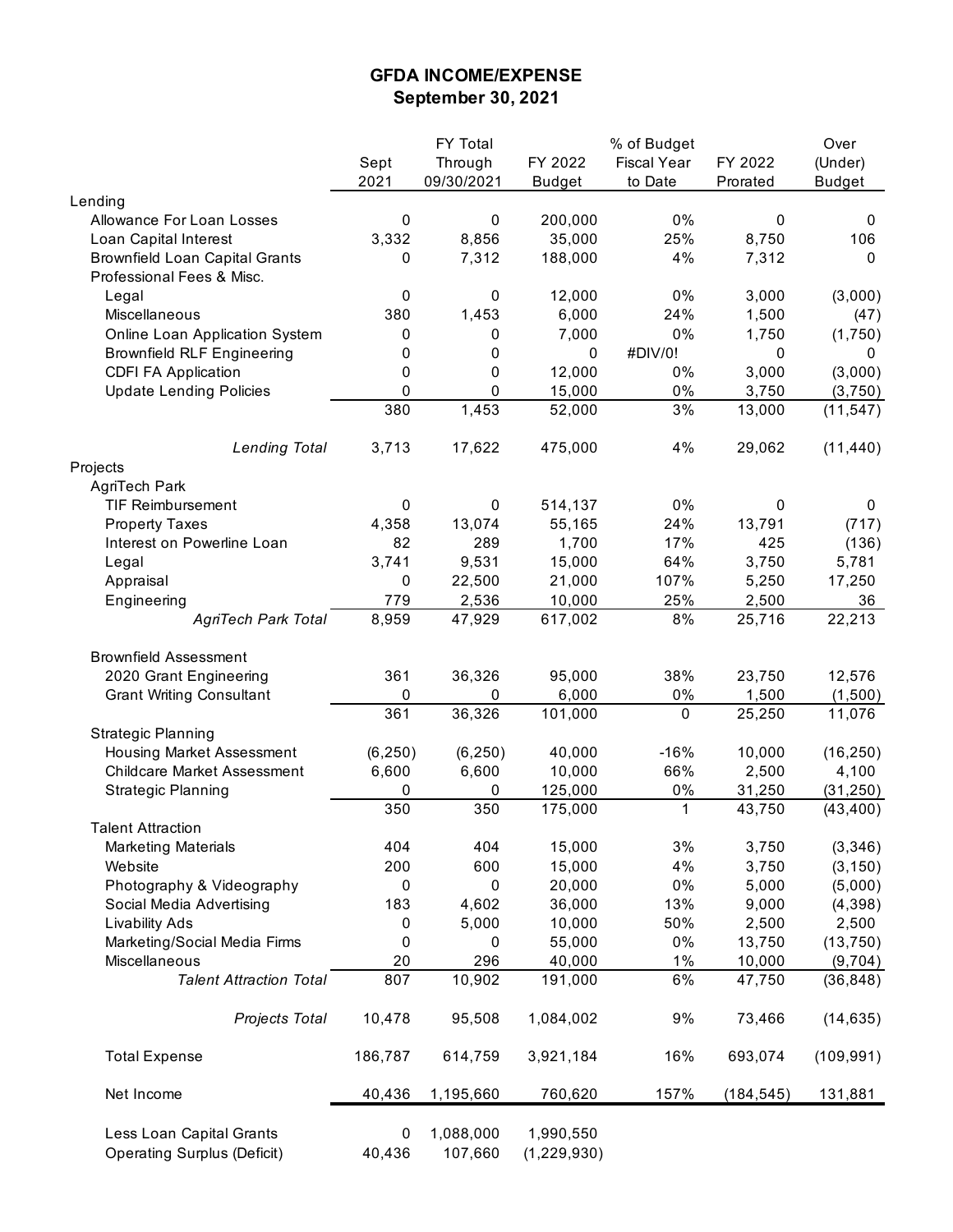## **GFDA INCOME/EXPENSE September 30, 2021**

|                                                                |             | FY Total             |                            | % of Budget        |            | Over          |
|----------------------------------------------------------------|-------------|----------------------|----------------------------|--------------------|------------|---------------|
|                                                                | Sept        | Through              | FY 2022                    | <b>Fiscal Year</b> | FY 2022    | (Under)       |
|                                                                | 2021        | 09/30/2021           | <b>Budget</b>              | to Date            | Prorated   | <b>Budget</b> |
| Lending                                                        |             |                      |                            |                    |            |               |
| Allowance For Loan Losses                                      | 0           | 0                    | 200,000                    | $0\%$              | 0          | 0             |
| Loan Capital Interest                                          | 3,332       | 8,856                | 35,000                     | 25%                | 8,750      | 106           |
| <b>Brownfield Loan Capital Grants</b>                          | 0           | 7,312                | 188,000                    | 4%                 | 7,312      | 0             |
| Professional Fees & Misc.                                      |             |                      |                            |                    |            |               |
| Legal                                                          | 0           | 0                    | 12,000                     | $0\%$              | 3,000      | (3,000)       |
| Miscellaneous                                                  | 380         | 1,453                | 6,000                      | 24%                | 1,500      | (47)          |
| Online Loan Application System                                 | 0           | 0                    | 7,000                      | 0%                 | 1,750      | (1,750)       |
| <b>Brownfield RLF Engineering</b>                              | 0           | 0                    | 0                          | #DIV/0!            | 0          | 0             |
| <b>CDFI FA Application</b>                                     | 0           | 0                    | 12,000                     | 0%                 | 3,000      | (3,000)       |
| <b>Update Lending Policies</b>                                 | 0           | 0                    | 15,000                     | 0%                 | 3,750      | (3,750)       |
|                                                                | 380         | 1,453                | 52,000                     | 3%                 | 13,000     | (11, 547)     |
|                                                                |             |                      |                            |                    |            |               |
| <b>Lending Total</b>                                           | 3,713       | 17,622               | 475,000                    | 4%                 | 29,062     | (11, 440)     |
| Projects                                                       |             |                      |                            |                    |            |               |
| AgriTech Park                                                  |             |                      |                            |                    |            |               |
| <b>TIF Reimbursement</b>                                       | 0           | 0                    | 514,137                    | 0%                 | 0          | 0             |
| <b>Property Taxes</b>                                          | 4,358       | 13,074               | 55,165                     | 24%                | 13,791     | (717)         |
| Interest on Powerline Loan                                     | 82          | 289                  | 1,700                      | 17%                | 425        | (136)         |
| Legal                                                          | 3,741       | 9,531                | 15,000                     | 64%                | 3,750      | 5,781         |
| Appraisal                                                      | 0           | 22,500               | 21,000                     | 107%               | 5,250      | 17,250        |
| Engineering                                                    | 779         | 2,536                | 10,000                     | 25%                | 2,500      | 36            |
| <b>AgriTech Park Total</b>                                     | 8,959       | 47,929               | 617,002                    | 8%                 | 25,716     | 22,213        |
|                                                                |             |                      |                            |                    |            |               |
| <b>Brownfield Assessment</b>                                   |             |                      |                            |                    |            |               |
| 2020 Grant Engineering                                         | 361         | 36,326               | 95,000                     | 38%                | 23,750     | 12,576        |
| <b>Grant Writing Consultant</b>                                | 0           | 0                    | 6,000                      | $0\%$              | 1,500      | (1,500)       |
|                                                                | 361         | 36,326               | 101,000                    | $\pmb{0}$          | 25,250     | 11,076        |
| <b>Strategic Planning</b>                                      |             |                      |                            |                    |            |               |
| Housing Market Assessment                                      | (6, 250)    | (6, 250)             | 40,000                     | $-16%$             | 10,000     | (16, 250)     |
| <b>Childcare Market Assessment</b>                             | 6,600       | 6,600                | 10,000                     | 66%                | 2,500      | 4,100         |
| <b>Strategic Planning</b>                                      | 0           | 0                    | 125,000                    | $0\%$              | 31,250     | (31, 250)     |
|                                                                | 350         | 350                  | 175,000                    | 1                  | 43,750     | (43, 400)     |
| <b>Talent Attraction</b>                                       |             |                      |                            |                    |            |               |
| <b>Marketing Materials</b>                                     | 404         | 404                  | 15,000                     | 3%                 | 3,750      | (3, 346)      |
| Website                                                        | 200         | 600                  | 15,000                     | 4%                 | 3,750      | (3, 150)      |
| Photography & Videography                                      | 0           | 0                    | 20,000                     | $0\%$              | 5,000      | (5,000)       |
| Social Media Advertising                                       | 183         | 4,602                | 36,000                     | 13%                | 9,000      | (4, 398)      |
| <b>Livability Ads</b>                                          | 0           | 5,000                | 10,000                     | 50%                | 2,500      | 2,500         |
| Marketing/Social Media Firms                                   | 0           | 0                    | 55,000                     | $0\%$              | 13,750     | (13, 750)     |
| Miscellaneous                                                  | 20          | 296                  | 40,000                     | $1\%$              | 10,000     | (9,704)       |
| <b>Talent Attraction Total</b>                                 | 807         | 10,902               | 191,000                    | 6%                 | 47,750     | (36, 848)     |
| Projects Total                                                 | 10,478      | 95,508               | 1,084,002                  | 9%                 | 73,466     | (14, 635)     |
| <b>Total Expense</b>                                           | 186,787     | 614,759              | 3,921,184                  | 16%                | 693,074    | (109, 991)    |
|                                                                |             |                      |                            |                    |            |               |
| Net Income                                                     | 40,436      | 1,195,660            | 760,620                    | 157%               | (184, 545) | 131,881       |
| Less Loan Capital Grants<br><b>Operating Surplus (Deficit)</b> | 0<br>40,436 | 1,088,000<br>107,660 | 1,990,550<br>(1, 229, 930) |                    |            |               |